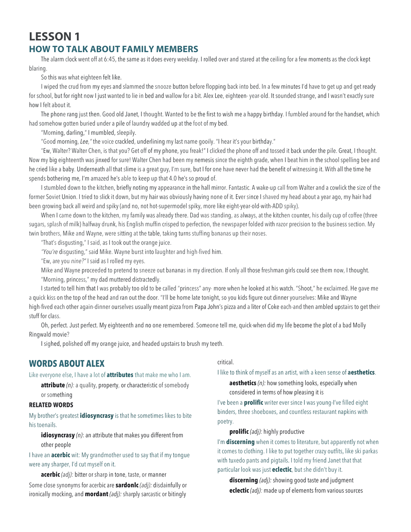# **LESSON 1 HOW TO TALK ABOUT FAMILY MEMBERS**

The alarm clock went off at 6:45, the same as it does every weekday. I rolled over and stared at the ceiling for a few moments as the clock kept blaring.

So this was what eighteen felt like.

I wiped the crud from my eyes and slammed the snooze button before flopping back into bed. In a few minutes I'd have to get up and get ready for school, but for right now I just wanted to lie in bed and wallow for a bit. Alex Lee, eighteen- year-old. It sounded strange, and I wasn't exactly sure how I felt about it.

The phone rang just then. Good old Janet, I thought. Wanted to be the first to wish me a happy birthday. I fumbled around for the handset, which had somehow gotten buried under a pile of laundry wadded up at the foot of my bed.

"Morning, darling," I mumbled, sleepily.

"Good morning, *Lee,"* the voice crackled, underlining my last name gooily. "I hear it's your birthday."

"Ew, Walter? Walter Chen, is that you? Get off of my phone, you freak!" I clicked the phone off and tossed it back under the pile. Great, I thought. Now my big eighteenth was jinxed for sure! Walter Chen had been my nemesis since the eighth grade, when I beat him in the school spelling bee and he cried like a baby. Underneath all that slime is a great guy, I'm sure, but I for one have never had the benefit of witnessing it. With all the time he spends bothering me, I'm amazed he's able to keep up that 4.0 he's so proud of.

I stumbled down to the kitchen, briefly noting my appearance in the hall mirror. Fantastic. A wake-up call from Walter and a cowlick the size of the former Soviet Union. I tried to slick it down, but my hair was obviously having none of it. Ever since I shaved my head about a year ago, my hair had been growing back all weird and spiky (and no, not hot-supermodel spiky, more like eight-year-old-with-ADD spiky).

When I came down to the kitchen, my family was already there. Dad was standing, as always, at the kitchen counter, his daily cup of coffee (three sugars, splash of milk) halfway drunk, his English muffin crisped to perfection, the newspaper folded with razor precision to the business section. My twin brothers, Mike and Wayne, were sitting at the table, taking turns stuffing bananas up their noses.

"That's disgusting," I said, as I took out the orange juice.

*"You're* disgusting," said Mike. Wayne burst into laughter and high·fived him.

"Ew, are you *nine?"* I said as I rolled my eyes.

Mike and Wayne proceeded to pretend to sneeze out bananas in my direction. If only all those freshman girls could see them now, I thought. "Morning, princess," my dad muttered distractedly.

I started to tell him that I was probably too old to be called "princess" any· more when he looked at his watch. "Shoot," he exclaimed. He gave me a quick kiss on the top of the head and ran out the door. "I'll be home late tonight, so you kids figure out dinner yourselves: Mike and Wayne high·fived each other again-dinner ourselves usually meant pizza from Papa John's pizza and a liter of Coke each-and then ambled upstairs to get their stuff for class.

Oh, perfect. Just perfect. My eighteenth and no one remembered. Someone tell me, quick-when did my life become the plot of a bad Molly Ringwald movie?

I sighed, polished off my orange juice, and headed upstairs to brush my teeth.

# **WORDS ABOUT ALEX**

Like everyone else, I have a lot of **attributes** that make me who I am.

**attribute** *(n):* a quality, property, or characteristic of somebody or something

### **RELATED WORDS**

My brother's greatest **idiosyncrasy** is that he sometimes likes to bite his toenails.

**idiosyncrasy** *(n)*: an attribute that makes you different from other people

I have an **acerbic** wit: My grandmother used to say that if my tongue were any sharper, I'd cut myself on it.

**acerbic** *(adj):* bitter or sharp in tone, taste, or manner Some close synonyms for acerbic are **sardonlc** *(adj):* disdainfully or ironically mocking, and **mordant** *(adj):* sharply sarcastic or bitingly

critical.

#### I like to think of myself as an artist, with a keen sense of **aesthetics**.

**aesthetics** *(n):* how something looks, especially when considered in terms of how pleasing it is

I've been a **prolific** writer ever since I was young-I've filled eight binders, three shoeboxes, and countless restaurant napkins with poetry.

**prolific** *(adj):* highly productive

I'm **discerning** when it comes to literature, but apparently not when it comes to clothing. I like to put together crazy outfits, like ski parkas with tuxedo pants and pigtails. I told my friend Janet that that particular look was just **eclectic**, but she didn't buy it.

**discerning** *(adj):* showing good taste and judgment **eclectic** *(adj):* made up of elements from various sources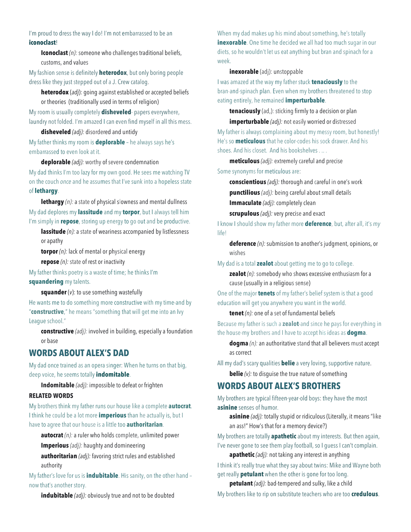### I'm proud to dress the way I do! I'm not embarrassed to be an **iconoclast**!

**Iconoclast** *(n):* someone who challenges traditional beliefs, customs, and values

My fashion sense is definitely **heterodox**, but only boring people dress like they just stepped out of a J. Crew catalog.

**heterodox** (*adj*): going against established or accepted beliefs or theories (traditionally used in terms of religion)

My room is usually completely **disheveled**- papers everywhere, laundry not folded. I'm amazed I can even find myself in all this mess.

**disheveled** *(adj):* disordered and untidy

My father thinks my room is **deplorable** – he always says he's embarrassed to even look at it.

**deplorable** *(adj):* worthy of severe condemnation

My dad thinks I'm too lazy for my own good. He sees me watching TV on the couch *once* and he assumes that I've sunk into a hopeless state of **lethargy**.

**lethargy** *(n):* a state of physical slowness and mental dullness My dad deplores my **lassitude** and my **torpor**, but I always tell him I'm simply in **repose**, storing up energy to go out and be productive.

**lassitude** *(n):* a state of weariness accompanied by listlessness or apathy

**torpor** *(n):* lack of mental or physical energy

**repose** *(n):* state of rest or inactivity

My father thinks poetry is a waste of time; he thinks I'm **squandering** my talents.

**squander** (*v*): to use something wastefully

He wants me to do something more constructive with my time-and by "**constructive**," he means "something that will get me into an Ivy League school."

**constructive** *(adj):* involved in building, especially a foundation or base

# **WORDS ABOUT ALEX'S DAD**

My dad once trained as an opera singer: When he turns on that big, deep voice, he seems totally **indomitable**.

**Indomitable** *(adj):* impossible to defeat or frighten

#### **RELATED WORDS**

My brothers think my father runs our house like a complete **autocrat**. I think he could be a lot more **imperious** than he actually is, but I have to agree that our house is a little too **authoritarian**.

**autocrat** *(n):* a ruler who holds complete, unlimited power

**Imperious** *(adj):* haughty and domineering

**authoritarian** *(adj):* favoring strict rules and established authority

My father's love for us is **indubitable**. His sanity, on the other hand – now that's another story.

**indubitable** *(adj):* obviously true and not to be doubted

When my dad makes up his mind about something, he's totally **inexorable**. One time he decided we all had too much sugar in our diets, so he wouldn't let us eat anything but bran and spinach for a week.

#### **inexorable** (adj): unstoppable

I was amazed at the way my father stuck **tenaciously** to the bran·and·spinach plan. Even when my brothers threatened to stop eating entirely, he remained **imperturbable**.

**tenaciously** (ad,): sticking firmly to a decision or plan

**imperturbable** *(adj):* not easily worried or distressed

My father is always complaining about my messy room, but honestly! He's so **meticulous** that he color·codes his sock drawer. And his shoes. And his closet. And his bookshelves . .. .

**meticulous** *(adj):* extremely careful and precise Some synonyms for meticulous are:

**conscientious** *(adj):* thorough and careful in one's work

**punctilious** *(adj):* being careful about small details

**Immaculate** *(adj):* completely clean

**scrupulous** *(adj):* very precise and exact

I know I should show my father more **deference**, but, after all, it's *my*  life!

**deference** *(n):* submission to another's judgment, opinions, or wishes

My dad is a total **zealot** about getting me to go to college.

**zealot** *(n):* somebody who shows excessive enthusiasm for a cause (usually in a religious sense)

One of the major **tenets** of my father's belief system is that a good education will get you anywhere you want in the world.

#### **tenet** *(n):* one of a set of fundamental beliefs

Because my father is such a **zealot**-and since he pays for everything in the house-my brothers and I have to accept his ideas as **dogma**.

**dogma** *(n):* an authoritative stand that all believers must accept as correct

All my dad's scary qualities **belie** a very loving, supportive nature.

**belie** (v): to disguise the true nature of something

# **WORDS ABOUT ALEX'S BROTHERS**

My brothers are typical fifteen-year-old boys: they have the most **asinine** senses of humor.

**asinine** *(adj):* totally stupid or ridiculous (Literally, it means "like an ass!" How's that for a memory device?)

My brothers are totally **apathetic** about my interests. But then again, I've never gone to see them play football, so I guess I can't complain.

**apathetic** *(adj):* not taking any interest in anything

I think it's really true what they say about twins: Mike and Wayne both get really **petulant** when the other is gone for too long.

**petulant** (adj): bad-tempered and sulky, like a child My brothers like to rip on substitute teachers who are too **credulous**.